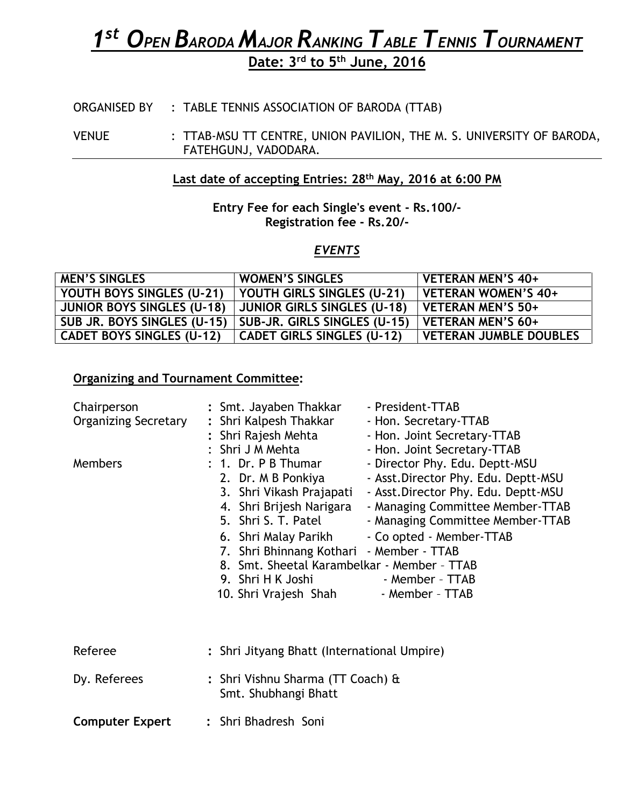# *1 st OPEN BARODA MAJOR RANKING TABLE TENNIS TOURNAMENT*

**Date: 3 rd to 5 th June, 2016**

ORGANISED BY : TABLE TENNIS ASSOCIATION OF BARODA (TTAB)

VENUE : TTAB-MSU TT CENTRE, UNION PAVILION, THE M. S. UNIVERSITY OF BARODA, FATEHGUNJ, VADODARA.

## **Last date of accepting Entries: 28th May, 2016 at 6:00 PM**

### **Entry Fee for each Single's event - Rs.100/- Registration fee - Rs.20/-**

## *EVENTS*

| <b>MEN'S SINGLES</b>              | <b>WOMEN'S SINGLES</b>             | VETERAN MEN'S 40+             |
|-----------------------------------|------------------------------------|-------------------------------|
| YOUTH BOYS SINGLES (U-21)         | YOUTH GIRLS SINGLES (U-21)         | <b>VETERAN WOMEN'S 40+</b>    |
| <b>JUNIOR BOYS SINGLES (U-18)</b> | <b>JUNIOR GIRLS SINGLES (U-18)</b> | <b>VETERAN MEN'S 50+</b>      |
| SUB JR. BOYS SINGLES (U-15)       | SUB-JR. GIRLS SINGLES (U-15)       | VETERAN MEN'S 60+             |
| <b>CADET BOYS SINGLES (U-12)</b>  | <b>CADET GIRLS SINGLES (U-12)</b>  | <b>VETERAN JUMBLE DOUBLES</b> |

# **Organizing and Tournament Committee:**

| Chairperson<br><b>Organizing Secretary</b> | : Smt. Jayaben Thakkar<br>- President-TTAB<br>: Shri Kalpesh Thakkar<br>- Hon. Secretary-TTAB<br>: Shri Rajesh Mehta<br>- Hon. Joint Secretary-TTAB<br>: Shri J M Mehta<br>- Hon. Joint Secretary-TTAB                                                                                                                                                                                                                                                                                                                                                  |
|--------------------------------------------|---------------------------------------------------------------------------------------------------------------------------------------------------------------------------------------------------------------------------------------------------------------------------------------------------------------------------------------------------------------------------------------------------------------------------------------------------------------------------------------------------------------------------------------------------------|
| <b>Members</b>                             | $: 1.$ Dr. P B Thumar<br>- Director Phy. Edu. Deptt-MSU<br>- Asst. Director Phy. Edu. Deptt-MSU<br>2. Dr. M B Ponkiya<br>3. Shri Vikash Prajapati<br>- Asst. Director Phy. Edu. Deptt-MSU<br>4. Shri Brijesh Narigara<br>- Managing Committee Member-TTAB<br>5. Shri S. T. Patel<br>- Managing Committee Member-TTAB<br>6. Shri Malay Parikh<br>- Co opted - Member-TTAB<br>7. Shri Bhinnang Kothari - Member - TTAB<br>8. Smt. Sheetal Karambelkar - Member - TTAB<br>9. Shri H K Joshi<br>- Member - TTAB<br>10. Shri Vrajesh Shah<br>- Member - TTAB |
| Referee                                    | : Shri Jityang Bhatt (International Umpire)                                                                                                                                                                                                                                                                                                                                                                                                                                                                                                             |
| Dy. Referees                               | : Shri Vishnu Sharma (TT Coach) &<br>Smt. Shubhangi Bhatt                                                                                                                                                                                                                                                                                                                                                                                                                                                                                               |
| <b>Computer Expert</b>                     | : Shri Bhadresh Soni                                                                                                                                                                                                                                                                                                                                                                                                                                                                                                                                    |